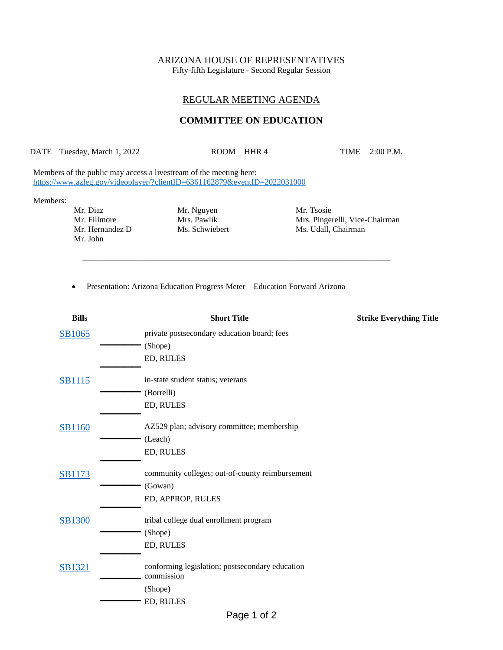# ARIZONA HOUSE OF REPRESENTATIVES

Fifty-fifth Legislature - Second Regular Session

## REGULAR MEETING AGENDA

## **COMMITTEE ON EDUCATION**

DATE Tuesday, March 1, 2022 ROOM HHR 4 TIME 2:00 P.M.

\_\_\_\_\_\_\_\_\_\_\_\_\_\_\_\_\_\_\_\_\_\_\_\_\_\_\_\_\_\_\_\_\_\_\_\_\_\_\_\_\_\_\_\_\_\_\_\_\_\_\_\_\_\_\_\_\_\_\_\_\_\_\_\_\_\_\_\_\_\_\_\_\_\_\_

Members of the public may access a livestream of the meeting here: <https://www.azleg.gov/videoplayer/?clientID=6361162879&eventID=2022031000>

#### Members:

Mr. Diaz Mr. Mguyen Mr. Tsosie<br>Mr. Fillmore Mrs. Pawlik Mrs. Mrs. Pinger Mr. John

Mr. Fillmore Mrs. Pawlik Mrs. Pawlik Mrs. Pingerelli, Vice-Chairman Mr. Hernandez D<br>Ms. Schwiebert Ms. Udall, Chairman Ms. Udall, Chairman

• Presentation: Arizona Education Progress Meter – Education Forward Arizona

| <b>Bills</b>  | <b>Short Title</b>                                            | <b>Strike Everything Title</b> |
|---------------|---------------------------------------------------------------|--------------------------------|
| SB1065        | private postsecondary education board; fees                   |                                |
|               | (Shope)                                                       |                                |
|               | ED, RULES                                                     |                                |
| <b>SB1115</b> | in-state student status; veterans                             |                                |
|               | (Borrelli)                                                    |                                |
|               | ED, RULES                                                     |                                |
| <b>SB1160</b> | AZ529 plan; advisory committee; membership                    |                                |
|               | (Leach)                                                       |                                |
|               | ED, RULES                                                     |                                |
| <b>SB1173</b> | community colleges; out-of-county reimbursement               |                                |
|               | (Gowan)                                                       |                                |
|               | ED, APPROP, RULES                                             |                                |
| <b>SB1300</b> | tribal college dual enrollment program                        |                                |
|               | (Shope)                                                       |                                |
|               | ED, RULES                                                     |                                |
| <b>SB1321</b> | conforming legislation; postsecondary education<br>commission |                                |
|               | (Shope)                                                       |                                |
|               | ED, RULES                                                     |                                |
|               | Page 1 of 2                                                   |                                |